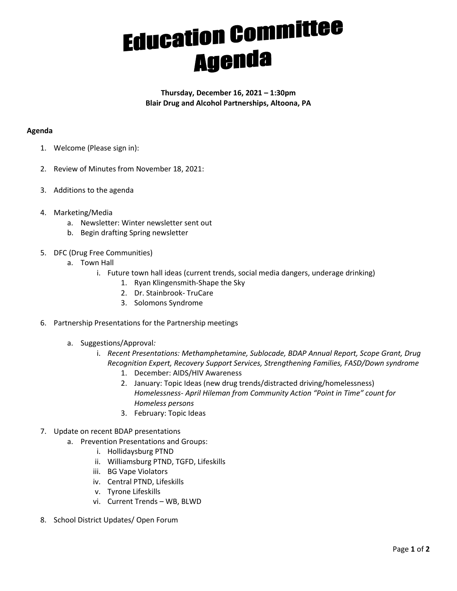## **Education Committee Agenda**

**Thursday, December 16, 2021 – 1:30pm Blair Drug and Alcohol Partnerships, Altoona, PA**

## **Agenda**

- 1. Welcome (Please sign in):
- 2. Review of Minutes from November 18, 2021:
- 3. Additions to the agenda
- 4. Marketing/Media
	- a. Newsletter: Winter newsletter sent out
	- b. Begin drafting Spring newsletter
- 5. DFC (Drug Free Communities)
	- a. Town Hall
		- i. Future town hall ideas (current trends, social media dangers, underage drinking)
			- 1. Ryan Klingensmith-Shape the Sky
			- 2. Dr. Stainbrook- TruCare
			- 3. Solomons Syndrome
- 6. Partnership Presentations for the Partnership meetings
	- a. Suggestions/Approval*:*
		- i. *Recent Presentations: Methamphetamine, Sublocade, BDAP Annual Report, Scope Grant, Drug Recognition Expert, Recovery Support Services, Strengthening Families, FASD/Down syndrome*
			- 1. December: AIDS/HIV Awareness
			- 2. January: Topic Ideas (new drug trends/distracted driving/homelessness) *Homelessness- April Hileman from Community Action "Point in Time" count for Homeless persons*
			- 3. February: Topic Ideas
- 7. Update on recent BDAP presentations
	- a. Prevention Presentations and Groups:
		- i. Hollidaysburg PTND
		- ii. Williamsburg PTND, TGFD, Lifeskills
		- iii. BG Vape Violators
		- iv. Central PTND, Lifeskills
		- v. Tyrone Lifeskills
		- vi. Current Trends WB, BLWD
- 8. School District Updates/ Open Forum